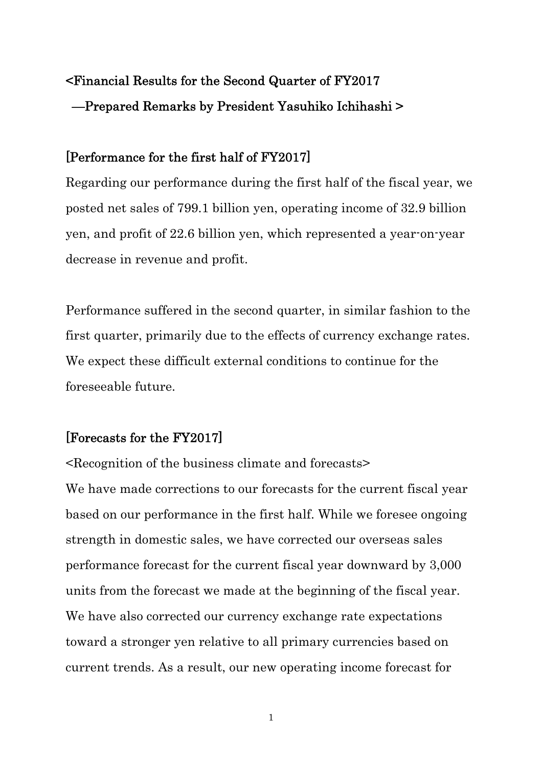# <Financial Results for the Second Quarter of FY2017 —Prepared Remarks by President Yasuhiko Ichihashi >

## [Performance for the first half of FY2017]

Regarding our performance during the first half of the fiscal year, we posted net sales of 799.1 billion yen, operating income of 32.9 billion yen, and profit of 22.6 billion yen, which represented a year-on-year decrease in revenue and profit.

Performance suffered in the second quarter, in similar fashion to the first quarter, primarily due to the effects of currency exchange rates. We expect these difficult external conditions to continue for the foreseeable future.

## [Forecasts for the FY2017]

<Recognition of the business climate and forecasts> We have made corrections to our forecasts for the current fiscal year based on our performance in the first half. While we foresee ongoing strength in domestic sales, we have corrected our overseas sales performance forecast for the current fiscal year downward by 3,000 units from the forecast we made at the beginning of the fiscal year. We have also corrected our currency exchange rate expectations toward a stronger yen relative to all primary currencies based on current trends. As a result, our new operating income forecast for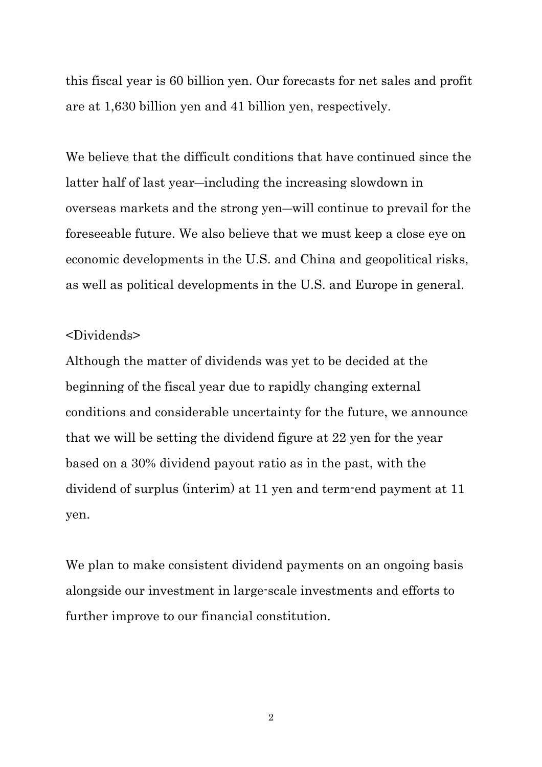this fiscal year is 60 billion yen. Our forecasts for net sales and profit are at 1,630 billion yen and 41 billion yen, respectively.

We believe that the difficult conditions that have continued since the latter half of last year―including the increasing slowdown in overseas markets and the strong yen―will continue to prevail for the foreseeable future. We also believe that we must keep a close eye on economic developments in the U.S. and China and geopolitical risks, as well as political developments in the U.S. and Europe in general.

#### <Dividends>

Although the matter of dividends was yet to be decided at the beginning of the fiscal year due to rapidly changing external conditions and considerable uncertainty for the future, we announce that we will be setting the dividend figure at 22 yen for the year based on a 30% dividend payout ratio as in the past, with the dividend of surplus (interim) at 11 yen and term-end payment at 11 yen.

We plan to make consistent dividend payments on an ongoing basis alongside our investment in large-scale investments and efforts to further improve to our financial constitution.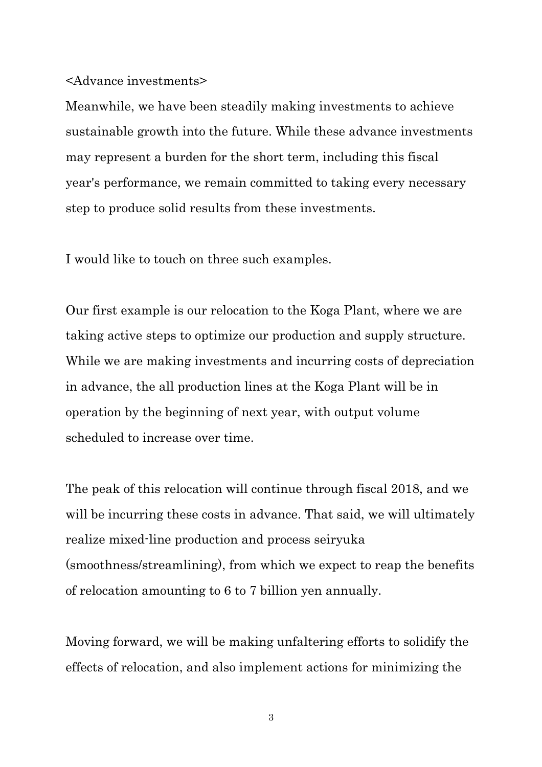#### <Advance investments>

Meanwhile, we have been steadily making investments to achieve sustainable growth into the future. While these advance investments may represent a burden for the short term, including this fiscal year's performance, we remain committed to taking every necessary step to produce solid results from these investments.

I would like to touch on three such examples.

Our first example is our relocation to the Koga Plant, where we are taking active steps to optimize our production and supply structure. While we are making investments and incurring costs of depreciation in advance, the all production lines at the Koga Plant will be in operation by the beginning of next year, with output volume scheduled to increase over time.

The peak of this relocation will continue through fiscal 2018, and we will be incurring these costs in advance. That said, we will ultimately realize mixed-line production and process seiryuka (smoothness/streamlining), from which we expect to reap the benefits of relocation amounting to 6 to 7 billion yen annually.

Moving forward, we will be making unfaltering efforts to solidify the effects of relocation, and also implement actions for minimizing the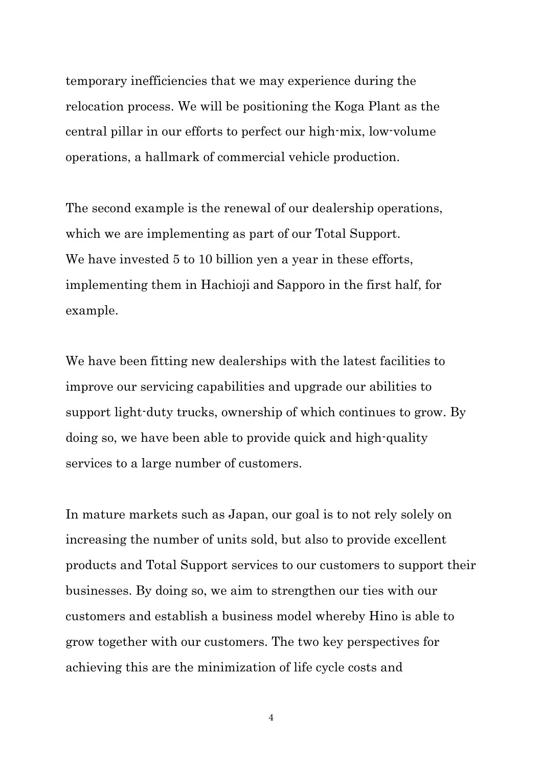temporary inefficiencies that we may experience during the relocation process. We will be positioning the Koga Plant as the central pillar in our efforts to perfect our high-mix, low-volume operations, a hallmark of commercial vehicle production.

The second example is the renewal of our dealership operations, which we are implementing as part of our Total Support. We have invested 5 to 10 billion yen a year in these efforts, implementing them in Hachioji and Sapporo in the first half, for example.

We have been fitting new dealerships with the latest facilities to improve our servicing capabilities and upgrade our abilities to support light-duty trucks, ownership of which continues to grow. By doing so, we have been able to provide quick and high-quality services to a large number of customers.

In mature markets such as Japan, our goal is to not rely solely on increasing the number of units sold, but also to provide excellent products and Total Support services to our customers to support their businesses. By doing so, we aim to strengthen our ties with our customers and establish a business model whereby Hino is able to grow together with our customers. The two key perspectives for achieving this are the minimization of life cycle costs and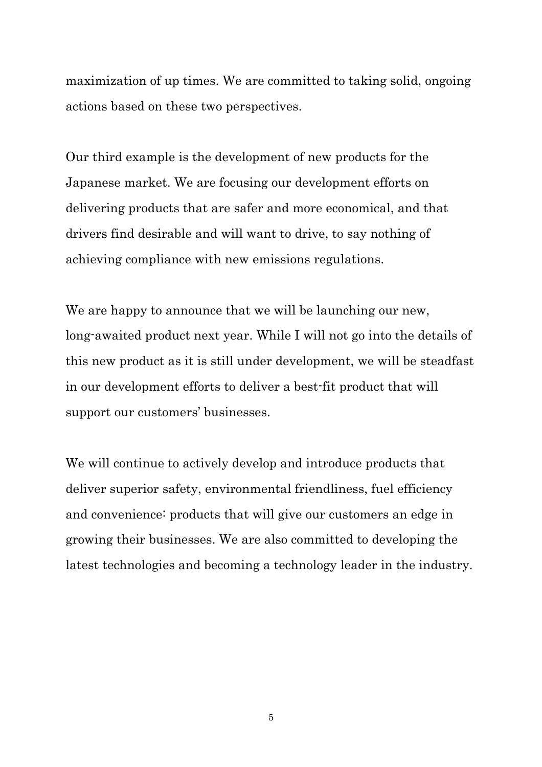maximization of up times. We are committed to taking solid, ongoing actions based on these two perspectives.

Our third example is the development of new products for the Japanese market. We are focusing our development efforts on delivering products that are safer and more economical, and that drivers find desirable and will want to drive, to say nothing of achieving compliance with new emissions regulations.

We are happy to announce that we will be launching our new, long-awaited product next year. While I will not go into the details of this new product as it is still under development, we will be steadfast in our development efforts to deliver a best-fit product that will support our customers' businesses.

We will continue to actively develop and introduce products that deliver superior safety, environmental friendliness, fuel efficiency and convenience: products that will give our customers an edge in growing their businesses. We are also committed to developing the latest technologies and becoming a technology leader in the industry.